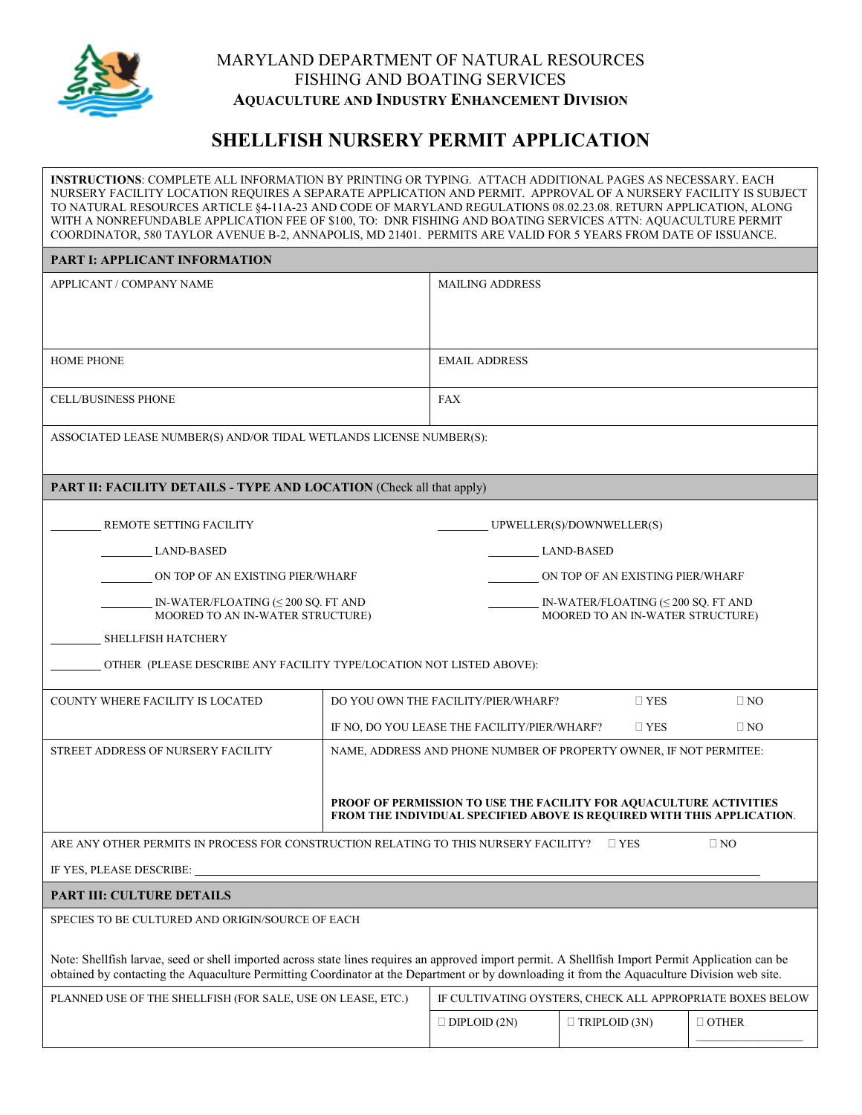

## MARYLAND DEPARTMENT OF NATURAL RESOURCES FISHING AND BOATING SERVICES **AQUACULTURE AND INDUSTRY ENHANCEMENT DIVISION**

## **SHELLFISH NURSERY PERMIT APPLICATION**

**INSTRUCTIONS**: COMPLETE ALL INFORMATION BY PRINTING OR TYPING. ATTACH ADDITIONAL PAGES AS NECESSARY. EACH NURSERY FACILITY LOCATION REQUIRES A SEPARATE APPLICATION AND PERMIT. APPROVAL OF A NURSERY FACILITY IS SUBJECT TO NATURAL RESOURCES ARTICLE §4-11A-23 AND CODE OF MARYLAND REGULATIONS 08.02.23.08. RETURN APPLICATION, ALONG WITH A NONREFUNDABLE APPLICATION FEE OF \$100, TO: DNR FISHING AND BOATING SERVICES ATTN: AQUACULTURE PERMIT COORDINATOR, 580 TAYLOR AVENUE B-2, ANNAPOLIS, MD 21401. PERMITS ARE VALID FOR 5 YEARS FROM DATE OF ISSUANCE.

## **PART I: APPLICANT INFORMATION**

| APPLICANT / COMPANY NAME                                                                                                                                                                                                                                                                           |                                  | <b>MAILING ADDRESS</b>                                                                |                                                                                                                                              |              |  |
|----------------------------------------------------------------------------------------------------------------------------------------------------------------------------------------------------------------------------------------------------------------------------------------------------|----------------------------------|---------------------------------------------------------------------------------------|----------------------------------------------------------------------------------------------------------------------------------------------|--------------|--|
|                                                                                                                                                                                                                                                                                                    |                                  |                                                                                       |                                                                                                                                              |              |  |
| <b>HOME PHONE</b>                                                                                                                                                                                                                                                                                  |                                  | <b>EMAIL ADDRESS</b>                                                                  |                                                                                                                                              |              |  |
| <b>CELL/BUSINESS PHONE</b>                                                                                                                                                                                                                                                                         | <b>FAX</b>                       |                                                                                       |                                                                                                                                              |              |  |
| ASSOCIATED LEASE NUMBER(S) AND/OR TIDAL WETLANDS LICENSE NUMBER(S):                                                                                                                                                                                                                                |                                  |                                                                                       |                                                                                                                                              |              |  |
| <b>PART II: FACILITY DETAILS - TYPE AND LOCATION</b> (Check all that apply)                                                                                                                                                                                                                        |                                  |                                                                                       |                                                                                                                                              |              |  |
| REMOTE SETTING FACILITY                                                                                                                                                                                                                                                                            |                                  |                                                                                       | UPWELLER(S)/DOWNWELLER(S)                                                                                                                    |              |  |
| LAND-BASED                                                                                                                                                                                                                                                                                         |                                  | LAND-BASED                                                                            |                                                                                                                                              |              |  |
| ON TOP OF AN EXISTING PIER/WHARF                                                                                                                                                                                                                                                                   | ON TOP OF AN EXISTING PIER/WHARF |                                                                                       |                                                                                                                                              |              |  |
| IN-WATER/FLOATING $(\leq 200$ SQ. FT AND                                                                                                                                                                                                                                                           |                                  | IN-WATER/FLOATING $(\leq 200 \text{ SQ}$ . FT AND<br>MOORED TO AN IN-WATER STRUCTURE) |                                                                                                                                              |              |  |
| MOORED TO AN IN-WATER STRUCTURE)<br>SHELLFISH HATCHERY                                                                                                                                                                                                                                             |                                  |                                                                                       |                                                                                                                                              |              |  |
| OTHER (PLEASE DESCRIBE ANY FACILITY TYPE/LOCATION NOT LISTED ABOVE):                                                                                                                                                                                                                               |                                  |                                                                                       |                                                                                                                                              |              |  |
| <b>COUNTY WHERE FACILITY IS LOCATED</b>                                                                                                                                                                                                                                                            |                                  | DO YOU OWN THE FACILITY/PIER/WHARF?                                                   | $\square$ YES                                                                                                                                | $\square$ NO |  |
|                                                                                                                                                                                                                                                                                                    |                                  | IF NO, DO YOU LEASE THE FACILITY/PIER/WHARF?                                          | $\Box$ YES                                                                                                                                   | $\Box$ NO    |  |
| STREET ADDRESS OF NURSERY FACILITY                                                                                                                                                                                                                                                                 |                                  |                                                                                       | NAME, ADDRESS AND PHONE NUMBER OF PROPERTY OWNER, IF NOT PERMITEE:                                                                           |              |  |
|                                                                                                                                                                                                                                                                                                    |                                  |                                                                                       |                                                                                                                                              |              |  |
|                                                                                                                                                                                                                                                                                                    |                                  |                                                                                       | PROOF OF PERMISSION TO USE THE FACILITY FOR AQUACULTURE ACTIVITIES<br>FROM THE INDIVIDUAL SPECIFIED ABOVE IS REQUIRED WITH THIS APPLICATION. |              |  |
| ARE ANY OTHER PERMITS IN PROCESS FOR CONSTRUCTION RELATING TO THIS NURSERY FACILITY?                                                                                                                                                                                                               |                                  |                                                                                       | $\square$ YES                                                                                                                                | $\square$ NO |  |
| IF YES, PLEASE DESCRIBE:                                                                                                                                                                                                                                                                           |                                  |                                                                                       |                                                                                                                                              |              |  |
| <b>PART III: CULTURE DETAILS</b>                                                                                                                                                                                                                                                                   |                                  |                                                                                       |                                                                                                                                              |              |  |
| SPECIES TO BE CULTURED AND ORIGIN/SOURCE OF EACH                                                                                                                                                                                                                                                   |                                  |                                                                                       |                                                                                                                                              |              |  |
| Note: Shellfish larvae, seed or shell imported across state lines requires an approved import permit. A Shellfish Import Permit Application can be<br>obtained by contacting the Aquaculture Permitting Coordinator at the Department or by downloading it from the Aquaculture Division web site. |                                  |                                                                                       |                                                                                                                                              |              |  |
| PLANNED USE OF THE SHELLFISH (FOR SALE, USE ON LEASE, ETC.)                                                                                                                                                                                                                                        |                                  | IF CULTIVATING OYSTERS, CHECK ALL APPROPRIATE BOXES BELOW                             |                                                                                                                                              |              |  |
|                                                                                                                                                                                                                                                                                                    |                                  | $\square$ DIPLOID (2N)                                                                | $\Box$ TRIPLOID (3N)                                                                                                                         | $\Box$ OTHER |  |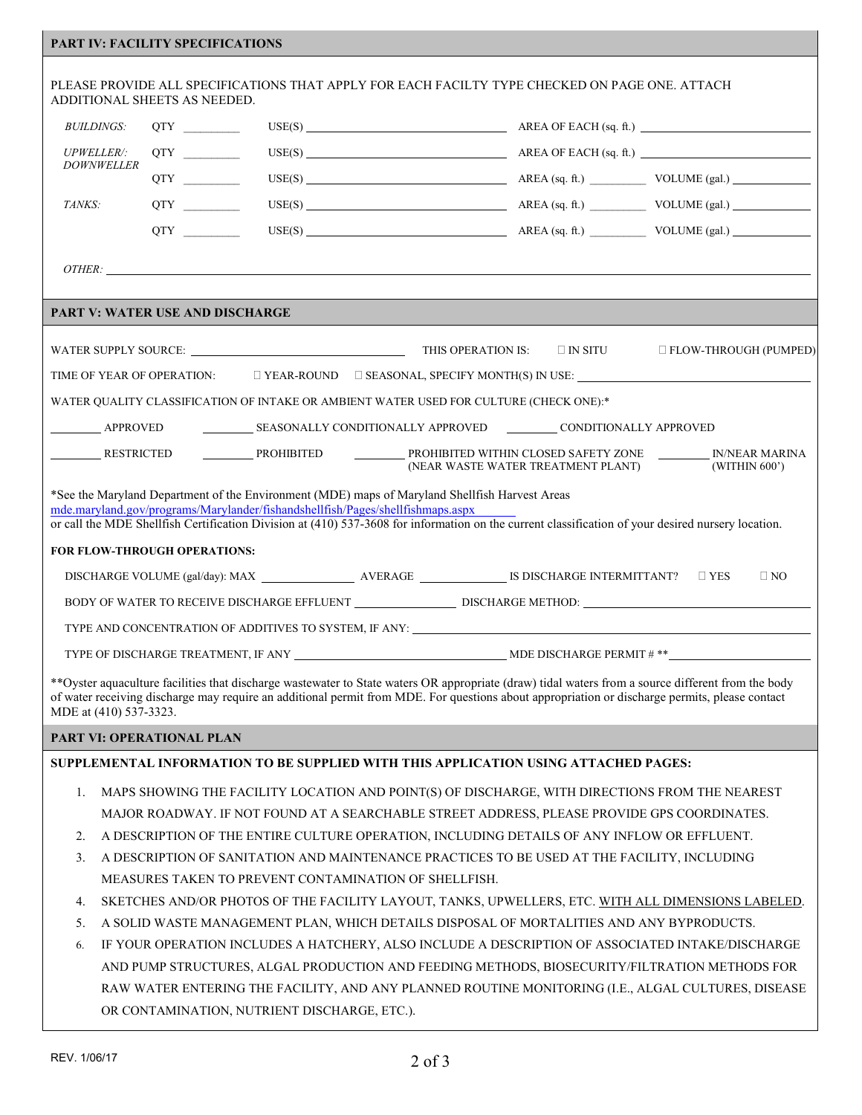## **PART IV: FACILITY SPECIFICATIONS**

|                                                                                                                                                                                                                                                                                                                                        | ADDITIONAL SHEETS AS NEEDED.                                                             |  | PLEASE PROVIDE ALL SPECIFICATIONS THAT APPLY FOR EACH FACILTY TYPE CHECKED ON PAGE ONE. ATTACH                                                 |                                    |                                                                                                                                                    |
|----------------------------------------------------------------------------------------------------------------------------------------------------------------------------------------------------------------------------------------------------------------------------------------------------------------------------------------|------------------------------------------------------------------------------------------|--|------------------------------------------------------------------------------------------------------------------------------------------------|------------------------------------|----------------------------------------------------------------------------------------------------------------------------------------------------|
| <i>BUILDINGS:</i>                                                                                                                                                                                                                                                                                                                      | QTY                                                                                      |  |                                                                                                                                                |                                    |                                                                                                                                                    |
| <b>UPWELLER/:</b>                                                                                                                                                                                                                                                                                                                      | QTY                                                                                      |  |                                                                                                                                                |                                    | USE(S) $\qquad \qquad \qquad \qquad \qquad \qquad \qquad \text{AREA OF EACH (sq. ft.)}$                                                            |
| <b>DOWNWELLER</b>                                                                                                                                                                                                                                                                                                                      |                                                                                          |  |                                                                                                                                                |                                    |                                                                                                                                                    |
| TANKS:                                                                                                                                                                                                                                                                                                                                 |                                                                                          |  |                                                                                                                                                |                                    | $USE(S)$ $AREA (sq. ft.)$ $VOLUME (gal.)$                                                                                                          |
|                                                                                                                                                                                                                                                                                                                                        |                                                                                          |  |                                                                                                                                                |                                    | $\text{USE}(S) \underbrace{\hspace{2cm}} \text{AREA (sq. ft.)} \underbrace{\hspace{2cm}} \text{VOLUME (gal.)}$                                     |
|                                                                                                                                                                                                                                                                                                                                        |                                                                                          |  |                                                                                                                                                |                                    |                                                                                                                                                    |
|                                                                                                                                                                                                                                                                                                                                        |                                                                                          |  | OTHER:                                                                                                                                         |                                    |                                                                                                                                                    |
|                                                                                                                                                                                                                                                                                                                                        | <b>PART V: WATER USE AND DISCHARGE</b>                                                   |  |                                                                                                                                                |                                    |                                                                                                                                                    |
|                                                                                                                                                                                                                                                                                                                                        |                                                                                          |  |                                                                                                                                                |                                    |                                                                                                                                                    |
|                                                                                                                                                                                                                                                                                                                                        |                                                                                          |  |                                                                                                                                                |                                    | $\Box$ FLOW-THROUGH (PUMPED)                                                                                                                       |
|                                                                                                                                                                                                                                                                                                                                        |                                                                                          |  |                                                                                                                                                |                                    | TIME OF YEAR OF OPERATION: $\square$ YEAR-ROUND $\square$ SEASONAL, SPECIFY MONTH(S) IN USE:                                                       |
|                                                                                                                                                                                                                                                                                                                                        |                                                                                          |  | WATER QUALITY CLASSIFICATION OF INTAKE OR AMBIENT WATER USED FOR CULTURE (CHECK ONE):*                                                         |                                    |                                                                                                                                                    |
| <b>APPROVED</b>                                                                                                                                                                                                                                                                                                                        |                                                                                          |  |                                                                                                                                                |                                    |                                                                                                                                                    |
| RESTRICTED                                                                                                                                                                                                                                                                                                                             |                                                                                          |  |                                                                                                                                                | (NEAR WASTE WATER TREATMENT PLANT) | PROHIBITED PROHIBITED PROHIBITED WITHIN CLOSED SAFETY ZONE NARRINA<br>(WITHIN 600')                                                                |
| *See the Maryland Department of the Environment (MDE) maps of Maryland Shellfish Harvest Areas<br>mde.maryland.gov/programs/Marylander/fishandshellfish/Pages/shellfishmaps.aspx<br>or call the MDE Shellfish Certification Division at (410) 537-3608 for information on the current classification of your desired nursery location. |                                                                                          |  |                                                                                                                                                |                                    |                                                                                                                                                    |
| <b>FOR FLOW-THROUGH OPERATIONS:</b>                                                                                                                                                                                                                                                                                                    |                                                                                          |  |                                                                                                                                                |                                    |                                                                                                                                                    |
| $\Box$ NO                                                                                                                                                                                                                                                                                                                              |                                                                                          |  |                                                                                                                                                |                                    |                                                                                                                                                    |
| BODY OF WATER TO RECEIVE DISCHARGE EFFLUENT DISCHARGE METHOD:                                                                                                                                                                                                                                                                          |                                                                                          |  |                                                                                                                                                |                                    |                                                                                                                                                    |
| TYPE AND CONCENTRATION OF ADDITIVES TO SYSTEM, IF ANY: THE RESERVE AND CONCENTRATION OF ADDITIVES TO SYSTEM, IF ANY:                                                                                                                                                                                                                   |                                                                                          |  |                                                                                                                                                |                                    |                                                                                                                                                    |
|                                                                                                                                                                                                                                                                                                                                        |                                                                                          |  |                                                                                                                                                |                                    |                                                                                                                                                    |
|                                                                                                                                                                                                                                                                                                                                        |                                                                                          |  |                                                                                                                                                |                                    | **Oyster aquaculture facilities that discharge wastewater to State waters OR appropriate (draw) tidal waters from a source different from the body |
| MDE at (410) 537-3323.                                                                                                                                                                                                                                                                                                                 |                                                                                          |  | of water receiving discharge may require an additional permit from MDE. For questions about appropriation or discharge permits, please contact |                                    |                                                                                                                                                    |
|                                                                                                                                                                                                                                                                                                                                        | PART VI: OPERATIONAL PLAN                                                                |  |                                                                                                                                                |                                    |                                                                                                                                                    |
|                                                                                                                                                                                                                                                                                                                                        |                                                                                          |  | SUPPLEMENTAL INFORMATION TO BE SUPPLIED WITH THIS APPLICATION USING ATTACHED PAGES:                                                            |                                    |                                                                                                                                                    |
| 1.                                                                                                                                                                                                                                                                                                                                     |                                                                                          |  | MAPS SHOWING THE FACILITY LOCATION AND POINT(S) OF DISCHARGE, WITH DIRECTIONS FROM THE NEAREST                                                 |                                    |                                                                                                                                                    |
|                                                                                                                                                                                                                                                                                                                                        |                                                                                          |  |                                                                                                                                                |                                    |                                                                                                                                                    |
| MAJOR ROADWAY. IF NOT FOUND AT A SEARCHABLE STREET ADDRESS, PLEASE PROVIDE GPS COORDINATES.<br>A DESCRIPTION OF THE ENTIRE CULTURE OPERATION, INCLUDING DETAILS OF ANY INFLOW OR EFFLUENT.<br>2.                                                                                                                                       |                                                                                          |  |                                                                                                                                                |                                    |                                                                                                                                                    |
| A DESCRIPTION OF SANITATION AND MAINTENANCE PRACTICES TO BE USED AT THE FACILITY, INCLUDING<br>3.                                                                                                                                                                                                                                      |                                                                                          |  |                                                                                                                                                |                                    |                                                                                                                                                    |
| MEASURES TAKEN TO PREVENT CONTAMINATION OF SHELLFISH.                                                                                                                                                                                                                                                                                  |                                                                                          |  |                                                                                                                                                |                                    |                                                                                                                                                    |
| SKETCHES AND/OR PHOTOS OF THE FACILITY LAYOUT, TANKS, UPWELLERS, ETC. WITH ALL DIMENSIONS LABELED.<br>4.                                                                                                                                                                                                                               |                                                                                          |  |                                                                                                                                                |                                    |                                                                                                                                                    |
| 5.                                                                                                                                                                                                                                                                                                                                     | A SOLID WASTE MANAGEMENT PLAN, WHICH DETAILS DISPOSAL OF MORTALITIES AND ANY BYPRODUCTS. |  |                                                                                                                                                |                                    |                                                                                                                                                    |
| 6.                                                                                                                                                                                                                                                                                                                                     |                                                                                          |  |                                                                                                                                                |                                    | IF YOUR OPERATION INCLUDES A HATCHERY, ALSO INCLUDE A DESCRIPTION OF ASSOCIATED INTAKE/DISCHARGE                                                   |
|                                                                                                                                                                                                                                                                                                                                        |                                                                                          |  |                                                                                                                                                |                                    | AND PUMP STRUCTURES, ALGAL PRODUCTION AND FEEDING METHODS, BIOSECURITY/FILTRATION METHODS FOR                                                      |

RAW WATER ENTERING THE FACILITY, AND ANY PLANNED ROUTINE MONITORING (I.E., ALGAL CULTURES, DISEASE OR CONTAMINATION, NUTRIENT DISCHARGE, ETC.).